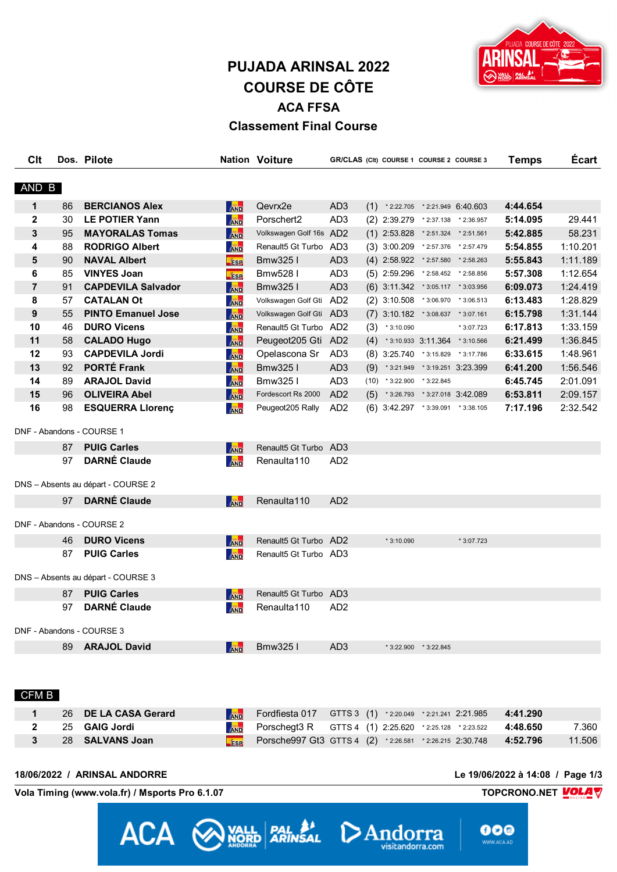# **PUJADA ARINSAL 2022 COURSE DE CÔTE ACA FFSA Classement Final Course**

GR/CLAS (CIt) COURSE 1 COURSE 2 COURSE 3

**Nation Voiture** 



**Temps** 

Écart

| AND B          |    |                                    |            |                         |                 |     |                                          |                         |                                  |          |          |
|----------------|----|------------------------------------|------------|-------------------------|-----------------|-----|------------------------------------------|-------------------------|----------------------------------|----------|----------|
| 1              | 86 | <b>BERCIANOS Alex</b>              | <b>AND</b> | Qevrx2e                 | AD <sub>3</sub> | (1) |                                          |                         | $*2:22.705$ $*2:21.949$ 6:40.603 | 4:44.654 |          |
| $\mathbf{2}$   | 30 | <b>LE POTIER Yann</b>              | <b>AND</b> | Porschert2              | AD <sub>3</sub> |     | (2) 2:39.279 *2:37.138 *2:36.957         |                         |                                  | 5:14.095 | 29.441   |
| 3              | 95 | <b>MAYORALAS Tomas</b>             | <b>AND</b> | Volkswagen Golf 16s AD2 |                 |     | $(1)$ 2:53.828 $*$ 2:51.324 $*$ 2:51.561 |                         |                                  | 5:42.885 | 58.231   |
| 4              | 88 | <b>RODRIGO Albert</b>              | <b>AND</b> | Renault5 Gt Turbo AD3   |                 |     | $(3)$ 3:00.209 $*$ 2:57.376 $*$ 2:57.479 |                         |                                  | 5:54.855 | 1:10.201 |
| 5              | 90 | <b>NAVAL Albert</b>                | <b>ESP</b> | Bmw325 I                | AD <sub>3</sub> |     | (4) 2:58.922 *2:57.580 *2:58.263         |                         |                                  | 5:55.843 | 1:11.189 |
| 6              | 85 | <b>VINYES Joan</b>                 | <b>ESP</b> | Bmw5281                 | AD <sub>3</sub> |     | $(5)$ 2:59.296 $*$ 2:58.452 $*$ 2:58.856 |                         |                                  | 5:57.308 | 1:12.654 |
| $\overline{7}$ | 91 | <b>CAPDEVILA Salvador</b>          | <b>AND</b> | Bmw3251                 | AD <sub>3</sub> |     | $(6)$ 3:11.342 $*3:05.117$ $*3:03.956$   |                         |                                  | 6:09.073 | 1:24.419 |
| 8              | 57 | <b>CATALAN Ot</b>                  | <b>AND</b> | Volkswagen Golf Gti AD2 |                 |     | $(2)$ 3:10.508 *3:06.970 *3:06.513       |                         |                                  | 6:13.483 | 1:28.829 |
| 9              | 55 | <b>PINTO Emanuel Jose</b>          | <b>AND</b> | Volkswagen Golf Gti AD3 |                 |     | (7) 3:10.182 * 3:08.637 * 3:07.161       |                         |                                  | 6:15.798 | 1:31.144 |
| 10             | 46 | <b>DURO Vicens</b>                 | <b>AND</b> | Renault5 Gt Turbo AD2   |                 | (3) | $*3:10.090$                              |                         | * 3:07.723                       | 6:17.813 | 1:33.159 |
| 11             | 58 | <b>CALADO Hugo</b>                 | <b>AND</b> | Peugeot205 Gti AD2      |                 |     | $(4)$ * 3:10.933 3:11.364 * 3:10.566     |                         |                                  | 6:21.499 | 1:36.845 |
| 12             | 93 | <b>CAPDEVILA Jordi</b>             | <b>AND</b> | Opelascona Sr           | AD <sub>3</sub> |     | (8) 3:25.740 *3:15.829 *3:17.786         |                         |                                  | 6:33.615 | 1:48.961 |
| 13             | 92 | <b>PORTÉ Frank</b>                 | <b>AND</b> | Bmw325 I                | AD <sub>3</sub> | (9) | * 3:21.949 * 3:19.251 3:23.399           |                         |                                  | 6:41.200 | 1:56.546 |
| 14             | 89 | <b>ARAJOL David</b>                | <b>AND</b> | Bmw325 I                | AD <sub>3</sub> |     | $(10)$ * 3:22.900 * 3:22.845             |                         |                                  | 6:45.745 | 2:01.091 |
| 15             | 96 | <b>OLIVEIRA Abel</b>               | <b>AND</b> | Fordescort Rs 2000      | AD <sub>2</sub> | (5) |                                          |                         | * 3:26.793 * 3:27.018 3:42.089   | 6:53.811 | 2:09.157 |
| 16             | 98 | <b>ESQUERRA Llorenç</b>            | AND        | Peugeot205 Rally        | AD <sub>2</sub> |     | $(6)$ 3:42.297 $*$ 3:39.091 $*$ 3:38.105 |                         |                                  | 7:17.196 | 2:32.542 |
|                |    | DNF - Abandons - COURSE 1          |            |                         |                 |     |                                          |                         |                                  |          |          |
|                | 87 | <b>PUIG Carles</b>                 | AND        | Renault5 Gt Turbo AD3   |                 |     |                                          |                         |                                  |          |          |
|                | 97 | <b>DARNÉ Claude</b>                | <b>AND</b> | Renaulta110             | AD <sub>2</sub> |     |                                          |                         |                                  |          |          |
|                |    | DNS - Absents au départ - COURSE 2 |            |                         |                 |     |                                          |                         |                                  |          |          |
|                | 97 | <b>DARNÉ Claude</b>                | AND        | Renaulta <sub>110</sub> | AD <sub>2</sub> |     |                                          |                         |                                  |          |          |
|                |    | DNF - Abandons - COURSE 2          |            |                         |                 |     |                                          |                         |                                  |          |          |
|                | 46 | <b>DURO Vicens</b>                 | <b>AND</b> | Renault5 Gt Turbo AD2   |                 |     | $*3:10.090$                              |                         | $*3:07.723$                      |          |          |
|                | 87 | <b>PUIG Carles</b>                 | AND        | Renault5 Gt Turbo AD3   |                 |     |                                          |                         |                                  |          |          |
|                |    | DNS - Absents au départ - COURSE 3 |            |                         |                 |     |                                          |                         |                                  |          |          |
|                | 87 | <b>PUIG Carles</b>                 | <b>AND</b> | Renault5 Gt Turbo AD3   |                 |     |                                          |                         |                                  |          |          |
|                | 97 | <b>DARNÉ Claude</b>                | <b>AND</b> | Renaulta110             | AD <sub>2</sub> |     |                                          |                         |                                  |          |          |
|                |    | DNF - Abandons - COURSE 3          |            |                         |                 |     |                                          |                         |                                  |          |          |
|                | 89 | <b>ARAJOL David</b>                | <b>AND</b> | Bmw3251                 | AD <sub>3</sub> |     |                                          | $*3:22.900$ $*3:22.845$ |                                  |          |          |
|                |    |                                    |            |                         |                 |     |                                          |                         |                                  |          |          |

#### CFM B

**Clt** 

Dos. Pilote

|  | 26 DE LA CASA Gerard | <b>AND</b> Fordfiesta 017 GTTS 3 (1) *2:20.049 *2:21.241 2:21.985 4:41.290 |  |  |        |
|--|----------------------|----------------------------------------------------------------------------|--|--|--------|
|  | 25 GAIG Jordi        | <b>AND</b> Porschegt3 R GTTS 4 (1) 2:25.620 *2:25.128 *2:23.522 4:48.650   |  |  | 7.360  |
|  | 28 SALVANS Joan      | Esp Porsche997 Gt3 GTTS 4 (2) *2:26.581 *2:26.215 2:30.748 4:52.796        |  |  | 11.506 |

ACA WALL BALLA DAnd

#### 18/06/2022 / ARINSAL ANDORRE

Le 19/06/2022 à 14:08 / Page 1/3

000

'a

visitandorra.com

TOPCRONO.NET **VOLA**V

Vola Timing (www.vola.fr) / Msports Pro 6.1.07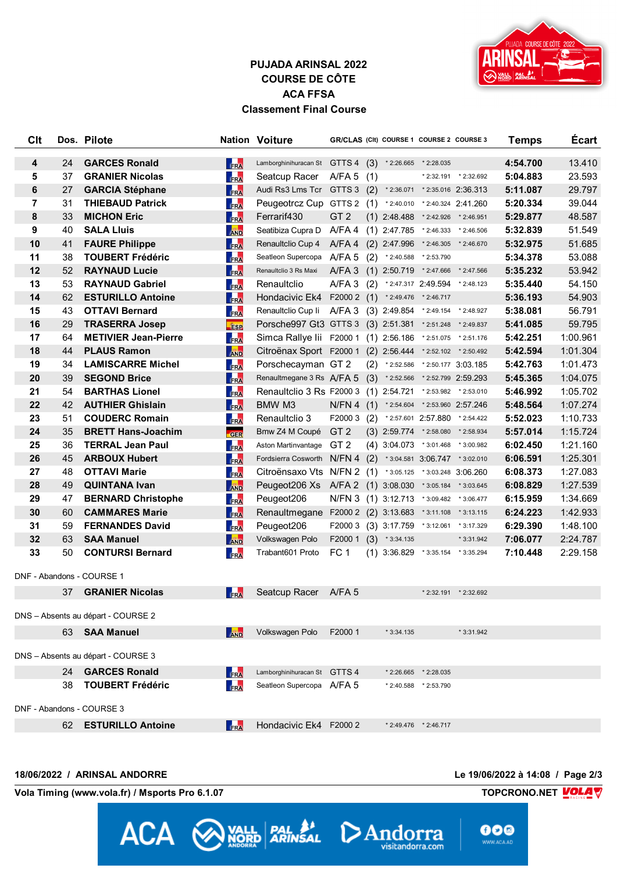

## **PUJADA ARINSAL 2022 COURSE DE CÔTE ACA FFSA Classement Final Course**

| Clt            |    | Dos. Pilote                        |                              | <b>Nation Voiture</b>                                      |                 |     | GR/CLAS (CIt) COURSE 1 COURSE 2 COURSE 3 |                                |                       | <b>Temps</b> | <b>Ecart</b> |
|----------------|----|------------------------------------|------------------------------|------------------------------------------------------------|-----------------|-----|------------------------------------------|--------------------------------|-----------------------|--------------|--------------|
| 4              | 24 | <b>GARCES Ronald</b>               | FRA                          | Lamborghinihuracan St GTTS 4 (3) * 2:26.665 * 2:28.035     |                 |     |                                          |                                |                       | 4:54.700     | 13.410       |
| 5              | 37 | <b>GRANIER Nicolas</b>             | FRA                          | Seatcup Racer                                              | A/FA 5 $(1)$    |     |                                          |                                | * 2:32.191 * 2:32.692 | 5:04.883     | 23.593       |
| 6              | 27 | <b>GARCIA Stéphane</b>             | FRA                          | Audi Rs3 Lms Tcr GTTS 3 (2) *2:36.071 *2:35.016 2:36.313   |                 |     |                                          |                                |                       | 5:11.087     | 29.797       |
| $\overline{7}$ | 31 | <b>THIEBAUD Patrick</b>            | FRA                          | Peugeotrcz Cup GTTS 2 (1)                                  |                 |     |                                          | *2:40.010 *2:40.324 2:41.260   |                       | 5:20.334     | 39.044       |
| 8              | 33 | <b>MICHON Eric</b>                 | FRA                          | Ferrarif430                                                | GT <sub>2</sub> |     | $(1)$ 2:48.488                           | * 2:42.926 * 2:46.951          |                       | 5:29.877     | 48.587       |
| 9              | 40 | <b>SALA Lluis</b>                  | <b>AND</b>                   | Seatibiza Cupra D                                          | A/FA 4          |     | $(1)$ 2:47.785 $*$ 2:46.333 $*$ 2:46.506 |                                |                       | 5:32.839     | 51.549       |
| 10             | 41 | <b>FAURE Philippe</b>              | FRA                          | Renaultclio Cup 4                                          | $A/FA$ 4        |     | $(2)$ 2:47.996 $*$ 2:46.305 $*$ 2:46.670 |                                |                       | 5:32.975     | 51.685       |
| 11             | 38 | <b>TOUBERT Frédéric</b>            | FRA                          | Seatleon Supercopa A/FA 5                                  |                 | (2) | $*2:40.588$                              | * 2:53.790                     |                       | 5:34.378     | 53.088       |
| 12             | 52 | <b>RAYNAUD Lucie</b>               | FRA                          | Renaultclio 3 Rs Maxi                                      | $A/FA$ 3        |     | $(1)$ 2:50.719 $*$ 2:47.666 $*$ 2:47.566 |                                |                       | 5:35.232     | 53.942       |
| 13             | 53 | <b>RAYNAUD Gabriel</b>             | FRA                          | Renaultclio                                                | A/FA3           | (2) | $*$ 2:47.317 2:49.594 $*$ 2:48.123       |                                |                       | 5:35.440     | 54.150       |
| 14             | 62 | <b>ESTURILLO Antoine</b>           | FRA                          | Hondacivic Ek4                                             | F20002(1)       |     | * 2:49.476 * 2:46.717                    |                                |                       | 5:36.193     | 54.903       |
| 15             | 43 | <b>OTTAVI Bernard</b>              | FRA                          | Renaultclio Cup Ii A/FA 3 (3) 2:49.854 *2:49.154 *2:48.927 |                 |     |                                          |                                |                       | 5:38.081     | 56.791       |
| 16             | 29 | <b>TRASERRA Josep</b>              | <b>Fise</b>                  | Porsche997 Gt3 GTTS 3 (3) 2:51.381 *2:51.248 *2:49.837     |                 |     |                                          |                                |                       | 5:41.085     | 59.795       |
| 17             | 64 | <b>METIVIER Jean-Pierre</b>        | <b>FRA</b>                   | Simca Rallye lii F2000 1 (1) 2:56.186 *2:51.075 *2:51.176  |                 |     |                                          |                                |                       | 5:42.251     | 1:00.961     |
| 18             | 44 | <b>PLAUS Ramon</b>                 | <b>AND</b>                   | Citroënax Sport F2000 1 (2) 2:56.444 *2:52.102 *2:50.492   |                 |     |                                          |                                |                       | 5:42.594     | 1:01.304     |
| 19             | 34 | <b>LAMISCARRE Michel</b>           | FRA                          | Porschecayman GT 2                                         |                 | (2) |                                          | * 2:52.586 * 2:50.177 3:03.185 |                       | 5:42.763     | 1:01.473     |
| 20             | 39 | <b>SEGOND Brice</b>                | FRA                          | Renaultmegane 3 Rs A/FA 5                                  |                 | (3) | $*2:52.566$                              | *2:52.799 2:59.293             |                       | 5:45.365     | 1:04.075     |
| 21             | 54 | <b>BARTHAS Lionel</b>              | FRA                          | Renaultclio 3 Rs F2000 3                                   |                 |     | $(1)$ 2:54.721 $*$ 2:53.982 $*$ 2:53.010 |                                |                       | 5:46.992     | 1:05.702     |
| 22             | 42 | <b>AUTHIER Ghislain</b>            | FRA                          | BMW M3                                                     |                 |     | N/FN 4 (1) *2:54.604 *2:53.960 2:57.246  |                                |                       | 5:48.564     | 1:07.274     |
| 23             | 51 | <b>COUDERC Romain</b>              | FRA                          | Renaultclio 3                                              | F20003          | (2) |                                          | * 2:57.601 2:57.880 * 2:54.422 |                       | 5:52.023     | 1:10.733     |
| 24             | 35 | <b>BRETT Hans-Joachim</b>          | GER                          | Bmw Z4 M Coupé                                             | GT <sub>2</sub> |     | (3) 2:59.774 *2:58.080 *2:58.934         |                                |                       | 5:57.014     | 1:15.724     |
| 25             | 36 | <b>TERRAL Jean Paul</b>            | FRA                          | Aston Martinvantage GT 2                                   |                 |     | $(4)$ 3:04.073 $*3:01.468$ $*3:00.982$   |                                |                       | 6:02.450     | 1:21.160     |
| 26             | 45 | <b>ARBOUX Hubert</b>               | FRA                          | Fordsierra Cosworth N/FN 4 (2)                             |                 |     |                                          | * 3:04.581 3:06.747 * 3:02.010 |                       | 6:06.591     | 1:25.301     |
| 27             | 48 | <b>OTTAVI Marie</b>                | <b>FRA</b>                   | Citroënsaxo Vts N/FN 2 (1) *3:05.125 *3:03.248 3:06.260    |                 |     |                                          |                                |                       | 6:08.373     | 1:27.083     |
| 28             | 49 | <b>QUINTANA Ivan</b>               | <b>AND</b>                   | Peugeot206 Xs A/FA 2 (1) 3:08.030 *3:05.184 *3:03.645      |                 |     |                                          |                                |                       | 6:08.829     | 1:27.539     |
| 29             | 47 | <b>BERNARD Christophe</b>          | FRA                          | Peugeot206                                                 |                 |     | N/FN 3 (1) 3:12.713 *3:09.482 *3:06.477  |                                |                       | 6:15.959     | 1:34.669     |
| 30             | 60 | <b>CAMMARES Marie</b>              | FRA                          | Renaultmegane F2000 2 (2) 3:13.683 *3:11.108 *3:13.115     |                 |     |                                          |                                |                       | 6:24.223     | 1:42.933     |
| 31             | 59 | <b>FERNANDES David</b>             | FRA                          | Peugeot206                                                 | F20003          |     | $(3)$ 3:17.759 $*3:12.061$ $*3:17.329$   |                                |                       | 6:29.390     | 1:48.100     |
| 32             | 63 | <b>SAA Manuel</b>                  | <b>AND</b>                   | Volkswagen Polo                                            | F2000 1         |     | $(3)$ * 3:34.135                         |                                | * 3:31.942            | 7:06.077     | 2:24.787     |
| 33             | 50 | <b>CONTURSI Bernard</b>            | <b>FRA</b>                   | Trabant601 Proto                                           | FC <sub>1</sub> |     | $(1)$ 3:36.829                           |                                | * 3:35.154 * 3:35.294 | 7:10.448     | 2:29.158     |
|                |    | DNF - Abandons - COURSE 1          |                              |                                                            |                 |     |                                          |                                |                       |              |              |
|                |    | 37 GRANIER Nicolas                 | <b>Service</b><br><b>FRA</b> | Seatcup Racer A/FA 5                                       |                 |     |                                          |                                | * 2:32.191 * 2:32.692 |              |              |
|                |    | DNS - Absents au départ - COURSE 2 |                              |                                                            |                 |     |                                          |                                |                       |              |              |
|                |    | 63 SAA Manuel                      | AND                          | Volkswagen Polo                                            | F2000 1         |     | $*3:34.135$                              |                                | * 3:31.942            |              |              |
|                |    | DNS - Absents au départ - COURSE 3 |                              |                                                            |                 |     |                                          |                                |                       |              |              |
|                |    | 24 GARCES Ronald                   | FRA                          | Lamborghinihuracan St GTTS 4                               |                 |     |                                          | * 2:26.665 * 2:28.035          |                       |              |              |
|                | 38 | <b>TOUBERT Frédéric</b>            | FRA                          | Seatleon Supercopa A/FA 5                                  |                 |     |                                          | * 2:40.588 * 2:53.790          |                       |              |              |
|                |    |                                    |                              |                                                            |                 |     |                                          |                                |                       |              |              |
|                |    | DNF - Abandons - COURSE 3          |                              |                                                            |                 |     |                                          |                                |                       |              |              |
|                |    | 62 ESTURILLO Antoine               | FRA                          | Hondacivic Ek4 F2000 2                                     |                 |     |                                          | * 2:49.476 * 2:46.717          |                       |              |              |

ACA WALL PALA DAndor

#### **18/06/2022 / ARINSAL ANDORRE Le 19/06/2022 à 14:08 / Page 2/3**

ra

visitandorra.com

**Vola Timing (www.vola.fr) / Msports Pro 6.1.07 TOPCRONO.NET** 

**VolaSoftControlPdf**